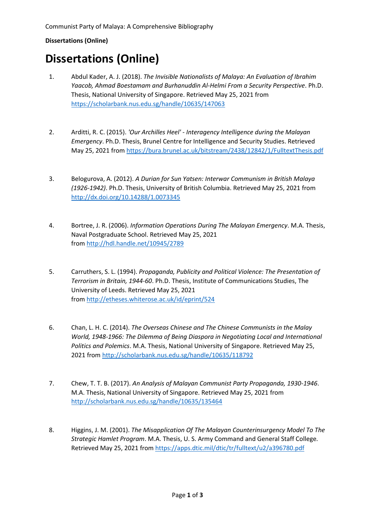## **Dissertations (Online)**

# **Dissertations (Online)**

- 1. Abdul Kader, A. J. (2018). *The Invisible Nationalists of Malaya: An Evaluation of Ibrahim Yaacob, Ahmad Boestamam and Burhanuddin Al-Helmi From a Security Perspective*. Ph.D. Thesis, National University of Singapore. Retrieved May 25, 2021 from <https://scholarbank.nus.edu.sg/handle/10635/147063>
- 2. Arditti, R. C. (2015). *'Our Archilles Heel' - Interagency Intelligence during the Malayan Emergency*. Ph.D. Thesis, Brunel Centre for Intelligence and Security Studies. Retrieved May 25, 2021 from <https://bura.brunel.ac.uk/bitstream/2438/12842/1/FulltextThesis.pdf>
- 3. Belogurova, A. (2012). *A Durian for Sun Yatsen: Interwar Communism in British Malaya (1926-1942)*. Ph.D. Thesis, University of British Columbia. Retrieved May 25, 2021 from <http://dx.doi.org/10.14288/1.0073345>
- 4. Bortree, J. R. (2006). *Information Operations During The Malayan Emergency*. M.A. Thesis, Naval Postgraduate School. Retrieved May 25, 2021 from <http://hdl.handle.net/10945/2789>
- 5. Carruthers, S. L. (1994). *Propaganda, Publicity and Political Violence: The Presentation of Terrorism in Britain, 1944-60*. Ph.D. Thesis, Institute of Communications Studies, The University of Leeds. Retrieved May 25, 2021 from <http://etheses.whiterose.ac.uk/id/eprint/524>
- 6. Chan, L. H. C. (2014). *The Overseas Chinese and The Chinese Communists in the Malay World, 1948-1966: The Dilemma of Being Diaspora in Negotiating Local and International Politics and Polemics*. M.A. Thesis, National University of Singapore. Retrieved May 25, 2021 from<http://scholarbank.nus.edu.sg/handle/10635/118792>
- 7. Chew, T. T. B. (2017). *An Analysis of Malayan Communist Party Propaganda, 1930-1946*. M.A. Thesis, National University of Singapore. Retrieved May 25, 2021 from <http://scholarbank.nus.edu.sg/handle/10635/135464>
- 8. Higgins, J. M. (2001). *The Misapplication Of The Malayan Counterinsurgency Model To The Strategic Hamlet Program*. M.A. Thesis, U. S. Army Command and General Staff College*.*  Retrieved May 25, 2021 fro[m https://apps.dtic.mil/dtic/tr/fulltext/u2/a396780.pdf](https://apps.dtic.mil/dtic/tr/fulltext/u2/a396780.pdf)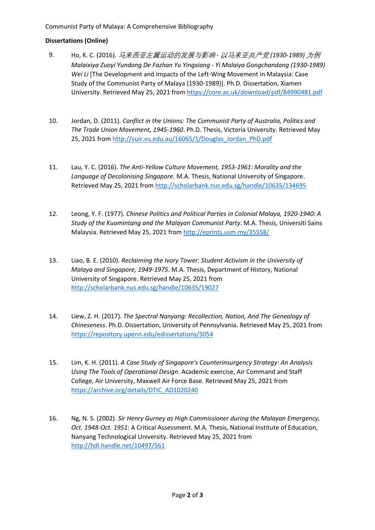### Communist Party of Malaya: A Comprehensive Bibliography

#### **Dissertations (Online)**

- 9. Ho, K. C. (2016). [马来西亚左翼运动的发展与影响](https://core.ac.uk/download/pdf/84990481.pdf) *-* 以马来亚共产党 *(1930-1989)* [为例](https://core.ac.uk/download/pdf/84990481.pdf) *[Malaixiya Zuoyi Yundong De Fazhan Yu Yingxiang -](https://core.ac.uk/download/pdf/84990481.pdf) Yi Malaiya Gongchandang (1930-1989) [Wei Li](https://core.ac.uk/download/pdf/84990481.pdf)* [The Development and Impacts of the Left-Wing Movement in Malaysia: Case Study of the Communist Party of Malaya (1930-1989)]. Ph.D. Dissertation, Xiamen University. Retrieved May 25, 2021 from<https://core.ac.uk/download/pdf/84990481.pdf>
- 10. Jordan, D. (2011). *Conflict in the Unions: The Communist Party of Australia, Politics and The Trade Union Movement, 1945-1960*. Ph.D. Thesis, Victoria University. Retrieved May 25, 2021 fro[m http://vuir.vu.edu.au/16065/1/Douglas\\_Jordan\\_PhD.pdf](http://vuir.vu.edu.au/16065/1/Douglas_Jordan_PhD.pdf)
- 11. Lau, Y. C. (2016). *The Anti-Yellow Culture Movement, 1953-1961: Morality and the Language of Decolonising Singapore*. M.A. Thesis, National University of Singapore. Retrieved May 25, 2021 fro[m http://scholarbank.nus.edu.sg/handle/10635/134695](http://scholarbank.nus.edu.sg/handle/10635/134695)
- 12. Leong, Y. F. (1977). *Chinese Politics and Political Parties in Colonial Malaya, 1920-1940: A Study of the Kuomintang and the Malayan Communist Party*. M.A. Thesis, Universiti Sains Malaysia. Retrieved May 25, 2021 from <http://eprints.usm.my/35558/>
- 13. Liao, B. E. (2010). *Reclaiming the Ivory Tower: Student Activism in the University of Malaya and Singapore, 1949-1975*. M.A. Thesis, Department of History, National University of Singapore. Retrieved May 25, 2021 from <http://scholarbank.nus.edu.sg/handle/10635/19027>
- 14. Liew, Z. H. (2017). *The Spectral Nanyang: Recollection, Nation, And The Genealogy of Chineseness*. Ph.D. Dissertation, University of Pennsylvania. Retrieved May 25, 2021 from <https://repository.upenn.edu/edissertations/3054>
- 15. Lim, K. H. (2011). *A Case Study of Singapore's Counterinsurgency Strategy: An Analysis Using The Tools of Operational Design*. Academic exercise, Air Command and Staff College, Air University, Maxwell Air Force Base. Retrieved May 25, 2021 from [https://archive.org/details/DTIC\\_AD1020240](https://archive.org/details/DTIC_AD1020240)
- 16. Ng, N. S. (2002). *Sir Henry Gurney as High Commissioner during the Malayan Emergency, Oct. 1948-Oct. 1951*: A Critical Assessment. M.A. Thesis, National Institute of Education, Nanyang Technological University. Retrieved May 25, 2021 from <http://hdl.handle.net/10497/561>